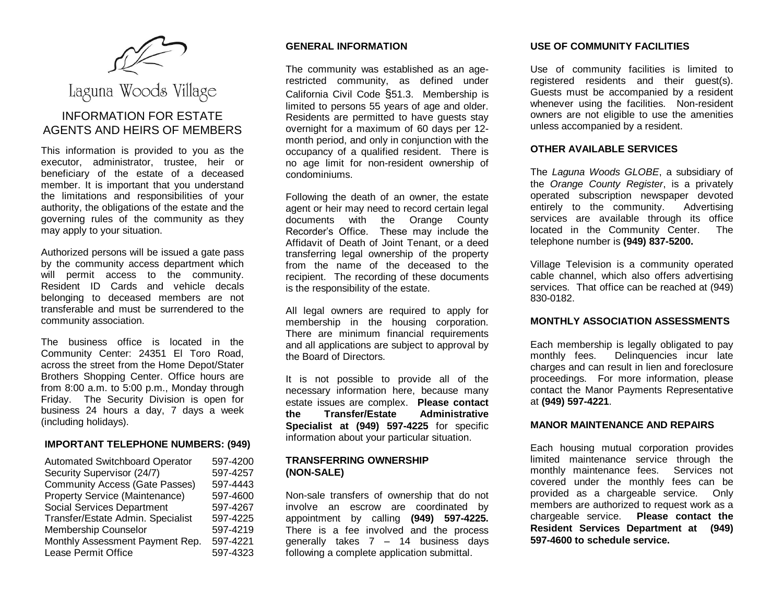

# Laguna Woods Village

# INFORMATION FOR ESTATE AGENTS AND HEIRS OF MEMBERS

This information is provided to you as the executor, administrator, trustee, heir or beneficiary of the estate of a deceased member. It is important that you understand the limitations and responsibilities of your authority, the obligations of the estate and the governing rules of the community as they may apply to your situation.

Authorized persons will be issued a gate pass by the community access department which will permit access to the community. Resident ID Cards and vehicle decals belonging to deceased members are not transferable and must be surrendered to the community association.

The business office is located in the Community Center: 24351 El Toro Road, across the street from the Home Depot/Stater Brothers Shopping Center. Office hours are from 8:00 a.m. to 5:00 p.m., Monday through Friday. The Security Division is open for business 24 hours a day, 7 days a week (including holidays).

# **IMPORTANT TELEPHONE NUMBERS: (949)**

| <b>Automated Switchboard Operator</b> | 597-4200 |
|---------------------------------------|----------|
| Security Supervisor (24/7)            | 597-4257 |
| <b>Community Access (Gate Passes)</b> | 597-4443 |
| <b>Property Service (Maintenance)</b> | 597-4600 |
| Social Services Department            | 597-4267 |
| Transfer/Estate Admin. Specialist     | 597-4225 |
| Membership Counselor                  | 597-4219 |
| Monthly Assessment Payment Rep.       | 597-4221 |
| Lease Permit Office                   | 597-4323 |

# **GENERAL INFORMATION**

The community was established as an agerestricted community, as defined under California Civil Code §51.3. Membership is limited to persons 55 years of age and older. Residents are permitted to have quests stay overnight for a maximum of 60 days per 12 month period, and only in conjunction with the occupancy of a qualified resident. There is no age limit for non-resident ownership of condominiums.

Following the death of an owner, the estate agent or heir may need to record certain legal documents with the Orange County Recorder's Office. These may include the Affidavit of Death of Joint Tenant, or a deed transferring legal ownership of the property from the name of the deceased to the recipient. The recording of these documents is the responsibility of the estate.

All legal owners are required to apply for membership in the housing corporation. There are minimum financial requirements and all applications are subject to approval by the Board of Directors.

It is not possible to provide all of the necessary information here, because many estate issues are complex. **Please contact the Transfer/Estate Administrative Specialist at (949) 597-4225** for specific information about your particular situation.

### **TRANSFERRING OWNERSHIP (NON-SALE)**

Non-sale transfers of ownership that do not involve an escrow are coordinated by appointment by calling **(949) 597-4225.** There is a fee involved and the process generally takes 7 – 14 business days following a complete application submittal.

# **USE OF COMMUNITY FACILITIES**

Use of community facilities is limited to registered residents and their guest(s). Guests must be accompanied by a resident whenever using the facilities. Non-resident owners are not eligible to use the amenities unless accompanied by a resident.

## **OTHER AVAILABLE SERVICES**

The *Laguna Woods GLOBE*, a subsidiary of the *Orange County Register*, is a privately operated subscription newspaper devoted entirely to the community. Advertising services are available through its office located in the Community Center. The telephone number is **(949) 837-5200.**

Village Television is a community operated cable channel, which also offers advertising services. That office can be reached at (949) 830-0182.

# **MONTHLY ASSOCIATION ASSESSMENTS**

Each membership is legally obligated to pay monthly fees. Delinquencies incur late charges and can result in lien and foreclosure proceedings. For more information, please contact the Manor Payments Representative at **(949) 597-4221**.

# **MANOR MAINTENANCE AND REPAIRS**

Each housing mutual corporation provides limited maintenance service through the monthly maintenance fees. Services not covered under the monthly fees can be provided as a chargeable service. Only members are authorized to request work as a chargeable service. **Please contact the Resident Services Department at (949) 597-4600 to schedule service.**